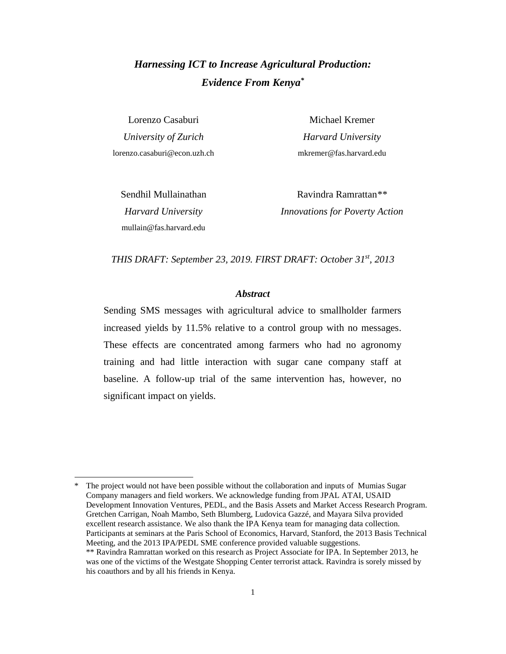## *Harnessing ICT to Increase Agricultural Production: Evidence From Kenya\**

Lorenzo Casaburi *University of Zurich* [lorenzo.casaburi@econ.uzh.ch](mailto:casaburi@stanford.edu)

Michael Kremer *Harvard University* [mkremer@fas.harvard.edu](mailto:mkremer@fas.harvard.edu)

Sendhil Mullainathan *Harvard University* [mullain@fas.harvard.edu](mailto:mullain@fas.harvard.edu)

 $\overline{a}$ 

Ravindra Ramrattan*\*\* Innovations for Poverty Action*

*THIS DRAFT: September 23, 2019. FIRST DRAFT: October 31st, 2013*

#### *Abstract*

Sending SMS messages with agricultural advice to smallholder farmers increased yields by 11.5% relative to a control group with no messages. These effects are concentrated among farmers who had no agronomy training and had little interaction with sugar cane company staff at baseline. A follow-up trial of the same intervention has, however, no significant impact on yields.

The project would not have been possible without the collaboration and inputs of Mumias Sugar Company managers and field workers. We acknowledge funding from JPAL ATAI, USAID Development Innovation Ventures, PEDL, and the Basis Assets and Market Access Research Program. Gretchen Carrigan, Noah Mambo, Seth Blumberg, Ludovica Gazzé, and Mayara Silva provided excellent research assistance. We also thank the IPA Kenya team for managing data collection. Participants at seminars at the Paris School of Economics, Harvard, Stanford, the 2013 Basis Technical Meeting, and the 2013 IPA/PEDL SME conference provided valuable suggestions. \*\* Ravindra Ramrattan worked on this research as Project Associate for IPA. In September 2013, he was one of the victims of the Westgate Shopping Center terrorist attack. Ravindra is sorely missed by his coauthors and by all his friends in Kenya.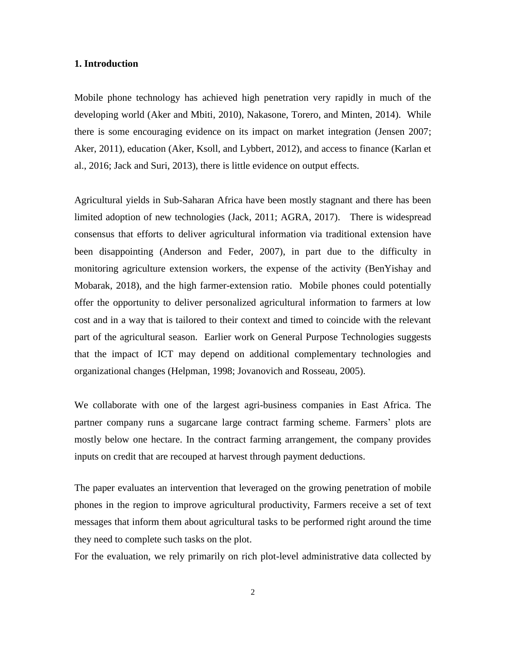#### **1. Introduction**

Mobile phone technology has achieved high penetration very rapidly in much of the developing world (Aker and Mbiti, 2010), Nakasone, Torero, and Minten, 2014). While there is some encouraging evidence on its impact on market integration (Jensen 2007; Aker, 2011), education (Aker, Ksoll, and Lybbert, 2012), and access to finance (Karlan et al., 2016; Jack and Suri, 2013), there is little evidence on output effects.

Agricultural yields in Sub-Saharan Africa have been mostly stagnant and there has been limited adoption of new technologies (Jack, 2011; AGRA, 2017). There is widespread consensus that efforts to deliver agricultural information via traditional extension have been disappointing (Anderson and Feder, 2007), in part due to the difficulty in monitoring agriculture extension workers, the expense of the activity (BenYishay and Mobarak, 2018), and the high farmer-extension ratio. Mobile phones could potentially offer the opportunity to deliver personalized agricultural information to farmers at low cost and in a way that is tailored to their context and timed to coincide with the relevant part of the agricultural season. Earlier work on General Purpose Technologies suggests that the impact of ICT may depend on additional complementary technologies and organizational changes (Helpman, 1998; Jovanovich and Rosseau, 2005).

We collaborate with one of the largest agri-business companies in East Africa. The partner company runs a sugarcane large contract farming scheme. Farmers' plots are mostly below one hectare. In the contract farming arrangement, the company provides inputs on credit that are recouped at harvest through payment deductions.

The paper evaluates an intervention that leveraged on the growing penetration of mobile phones in the region to improve agricultural productivity, Farmers receive a set of text messages that inform them about agricultural tasks to be performed right around the time they need to complete such tasks on the plot.

For the evaluation, we rely primarily on rich plot-level administrative data collected by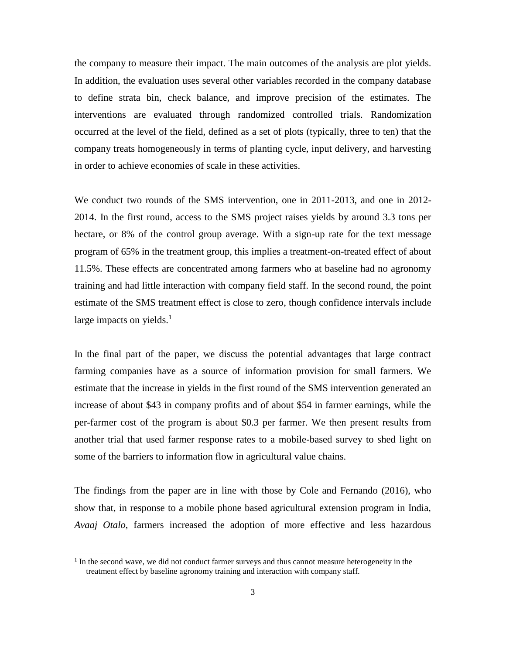the company to measure their impact. The main outcomes of the analysis are plot yields. In addition, the evaluation uses several other variables recorded in the company database to define strata bin, check balance, and improve precision of the estimates. The interventions are evaluated through randomized controlled trials. Randomization occurred at the level of the field, defined as a set of plots (typically, three to ten) that the company treats homogeneously in terms of planting cycle, input delivery, and harvesting in order to achieve economies of scale in these activities.

We conduct two rounds of the SMS intervention, one in 2011-2013, and one in 2012- 2014. In the first round, access to the SMS project raises yields by around 3.3 tons per hectare, or 8% of the control group average. With a sign-up rate for the text message program of 65% in the treatment group, this implies a treatment-on-treated effect of about 11.5%. These effects are concentrated among farmers who at baseline had no agronomy training and had little interaction with company field staff. In the second round, the point estimate of the SMS treatment effect is close to zero, though confidence intervals include large impacts on yields.<sup>1</sup>

In the final part of the paper, we discuss the potential advantages that large contract farming companies have as a source of information provision for small farmers. We estimate that the increase in yields in the first round of the SMS intervention generated an increase of about \$43 in company profits and of about \$54 in farmer earnings, while the per-farmer cost of the program is about \$0.3 per farmer. We then present results from another trial that used farmer response rates to a mobile-based survey to shed light on some of the barriers to information flow in agricultural value chains.

The findings from the paper are in line with those by Cole and Fernando (2016), who show that, in response to a mobile phone based agricultural extension program in India, *Avaaj Otalo*, farmers increased the adoption of more effective and less hazardous

<sup>&</sup>lt;sup>1</sup> In the second wave, we did not conduct farmer surveys and thus cannot measure heterogeneity in the treatment effect by baseline agronomy training and interaction with company staff.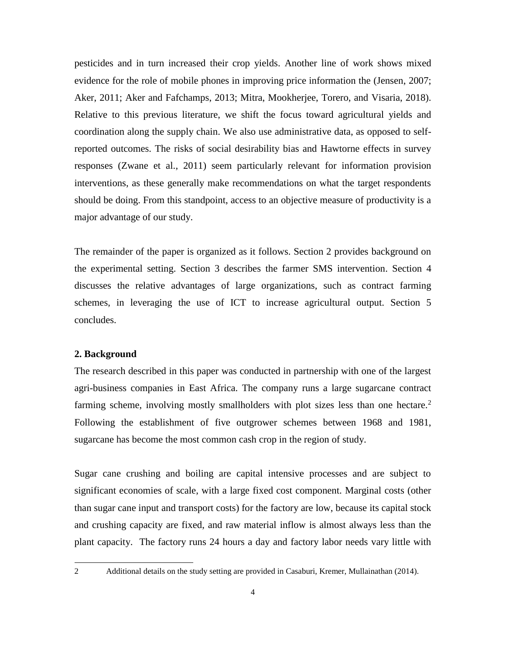pesticides and in turn increased their crop yields. Another line of work shows mixed evidence for the role of mobile phones in improving price information the (Jensen, 2007; Aker, 2011; Aker and Fafchamps, 2013; Mitra, Mookherjee, Torero, and Visaria, 2018). Relative to this previous literature, we shift the focus toward agricultural yields and coordination along the supply chain. We also use administrative data, as opposed to selfreported outcomes. The risks of social desirability bias and Hawtorne effects in survey responses (Zwane et al., 2011) seem particularly relevant for information provision interventions, as these generally make recommendations on what the target respondents should be doing. From this standpoint, access to an objective measure of productivity is a major advantage of our study.

The remainder of the paper is organized as it follows. Section 2 provides background on the experimental setting. Section 3 describes the farmer SMS intervention. Section 4 discusses the relative advantages of large organizations, such as contract farming schemes, in leveraging the use of ICT to increase agricultural output. Section 5 concludes.

### **2. Background**

The research described in this paper was conducted in partnership with one of the largest agri-business companies in East Africa. The company runs a large sugarcane contract farming scheme, involving mostly smallholders with plot sizes less than one hectare.<sup>2</sup> Following the establishment of five outgrower schemes between 1968 and 1981, sugarcane has become the most common cash crop in the region of study.

Sugar cane crushing and boiling are capital intensive processes and are subject to significant economies of scale, with a large fixed cost component. Marginal costs (other than sugar cane input and transport costs) for the factory are low, because its capital stock and crushing capacity are fixed, and raw material inflow is almost always less than the plant capacity. The factory runs 24 hours a day and factory labor needs vary little with

<sup>2</sup> Additional details on the study setting are provided in Casaburi, Kremer, Mullainathan (2014).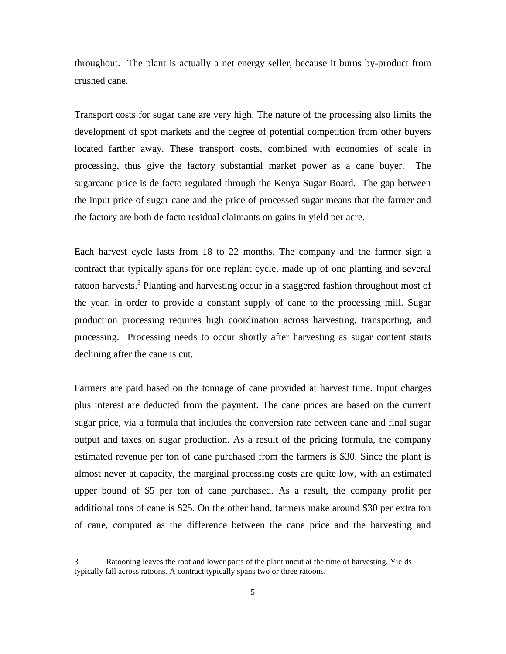throughout. The plant is actually a net energy seller, because it burns by-product from crushed cane.

Transport costs for sugar cane are very high. The nature of the processing also limits the development of spot markets and the degree of potential competition from other buyers located farther away. These transport costs, combined with economies of scale in processing, thus give the factory substantial market power as a cane buyer. The sugarcane price is de facto regulated through the Kenya Sugar Board. The gap between the input price of sugar cane and the price of processed sugar means that the farmer and the factory are both de facto residual claimants on gains in yield per acre.

Each harvest cycle lasts from 18 to 22 months. The company and the farmer sign a contract that typically spans for one replant cycle, made up of one planting and several ratoon harvests.<sup>3</sup> Planting and harvesting occur in a staggered fashion throughout most of the year, in order to provide a constant supply of cane to the processing mill. Sugar production processing requires high coordination across harvesting, transporting, and processing. Processing needs to occur shortly after harvesting as sugar content starts declining after the cane is cut.

Farmers are paid based on the tonnage of cane provided at harvest time. Input charges plus interest are deducted from the payment. The cane prices are based on the current sugar price, via a formula that includes the conversion rate between cane and final sugar output and taxes on sugar production. As a result of the pricing formula, the company estimated revenue per ton of cane purchased from the farmers is \$30. Since the plant is almost never at capacity, the marginal processing costs are quite low, with an estimated upper bound of \$5 per ton of cane purchased. As a result, the company profit per additional tons of cane is \$25. On the other hand, farmers make around \$30 per extra ton of cane, computed as the difference between the cane price and the harvesting and

<sup>3</sup> Ratooning leaves the root and lower parts of the plant uncut at the time of harvesting. Yields typically fall across ratoons. A contract typically spans two or three ratoons.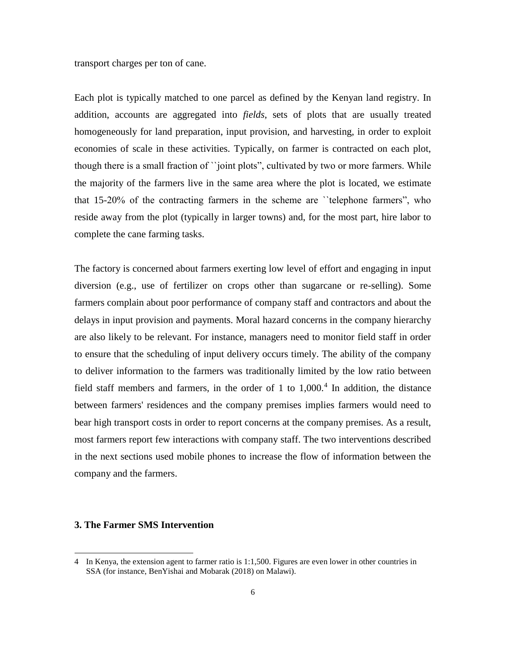transport charges per ton of cane.

Each plot is typically matched to one parcel as defined by the Kenyan land registry. In addition, accounts are aggregated into *fields*, sets of plots that are usually treated homogeneously for land preparation, input provision, and harvesting, in order to exploit economies of scale in these activities. Typically, on farmer is contracted on each plot, though there is a small fraction of ``joint plots", cultivated by two or more farmers. While the majority of the farmers live in the same area where the plot is located, we estimate that 15-20% of the contracting farmers in the scheme are ``telephone farmers", who reside away from the plot (typically in larger towns) and, for the most part, hire labor to complete the cane farming tasks.

The factory is concerned about farmers exerting low level of effort and engaging in input diversion (e.g., use of fertilizer on crops other than sugarcane or re-selling). Some farmers complain about poor performance of company staff and contractors and about the delays in input provision and payments. Moral hazard concerns in the company hierarchy are also likely to be relevant. For instance, managers need to monitor field staff in order to ensure that the scheduling of input delivery occurs timely. The ability of the company to deliver information to the farmers was traditionally limited by the low ratio between field staff members and farmers, in the order of 1 to  $1,000$ .<sup>4</sup> In addition, the distance between farmers' residences and the company premises implies farmers would need to bear high transport costs in order to report concerns at the company premises. As a result, most farmers report few interactions with company staff. The two interventions described in the next sections used mobile phones to increase the flow of information between the company and the farmers.

#### **3. The Farmer SMS Intervention**

<sup>4</sup> In Kenya, the extension agent to farmer ratio is 1:1,500. Figures are even lower in other countries in SSA (for instance, BenYishai and Mobarak (2018) on Malawi).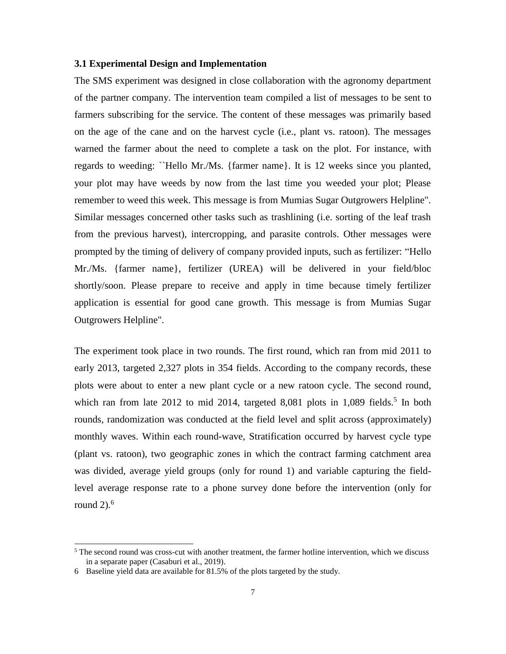#### **3.1 Experimental Design and Implementation**

The SMS experiment was designed in close collaboration with the agronomy department of the partner company. The intervention team compiled a list of messages to be sent to farmers subscribing for the service. The content of these messages was primarily based on the age of the cane and on the harvest cycle (i.e., plant vs. ratoon). The messages warned the farmer about the need to complete a task on the plot. For instance, with regards to weeding: ``Hello Mr./Ms. {farmer name}. It is 12 weeks since you planted, your plot may have weeds by now from the last time you weeded your plot; Please remember to weed this week. This message is from Mumias Sugar Outgrowers Helpline". Similar messages concerned other tasks such as trashlining (i.e. sorting of the leaf trash from the previous harvest), intercropping, and parasite controls. Other messages were prompted by the timing of delivery of company provided inputs, such as fertilizer: "Hello Mr./Ms. {farmer name}, fertilizer (UREA) will be delivered in your field/bloc shortly/soon. Please prepare to receive and apply in time because timely fertilizer application is essential for good cane growth. This message is from Mumias Sugar Outgrowers Helpline".

The experiment took place in two rounds. The first round, which ran from mid 2011 to early 2013, targeted 2,327 plots in 354 fields. According to the company records, these plots were about to enter a new plant cycle or a new ratoon cycle. The second round, which ran from late  $2012$  to mid  $2014$ , targeted 8,081 plots in 1,089 fields.<sup>5</sup> In both rounds, randomization was conducted at the field level and split across (approximately) monthly waves. Within each round-wave, Stratification occurred by harvest cycle type (plant vs. ratoon), two geographic zones in which the contract farming catchment area was divided, average yield groups (only for round 1) and variable capturing the fieldlevel average response rate to a phone survey done before the intervention (only for round  $2$ ).<sup>6</sup>

 $5$  The second round was cross-cut with another treatment, the farmer hotline intervention, which we discuss in a separate paper (Casaburi et al., 2019).

<sup>6</sup> Baseline yield data are available for 81.5% of the plots targeted by the study.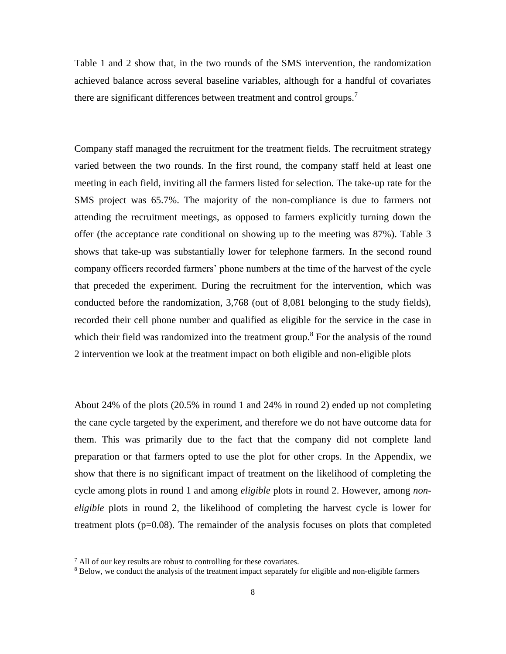Table 1 and 2 show that, in the two rounds of the SMS intervention, the randomization achieved balance across several baseline variables, although for a handful of covariates there are significant differences between treatment and control groups.<sup>7</sup>

Company staff managed the recruitment for the treatment fields. The recruitment strategy varied between the two rounds. In the first round, the company staff held at least one meeting in each field, inviting all the farmers listed for selection. The take-up rate for the SMS project was 65.7%. The majority of the non-compliance is due to farmers not attending the recruitment meetings, as opposed to farmers explicitly turning down the offer (the acceptance rate conditional on showing up to the meeting was 87%). Table 3 shows that take-up was substantially lower for telephone farmers. In the second round company officers recorded farmers' phone numbers at the time of the harvest of the cycle that preceded the experiment. During the recruitment for the intervention, which was conducted before the randomization, 3,768 (out of 8,081 belonging to the study fields), recorded their cell phone number and qualified as eligible for the service in the case in which their field was randomized into the treatment group.<sup>8</sup> For the analysis of the round 2 intervention we look at the treatment impact on both eligible and non-eligible plots

About 24% of the plots (20.5% in round 1 and 24% in round 2) ended up not completing the cane cycle targeted by the experiment, and therefore we do not have outcome data for them. This was primarily due to the fact that the company did not complete land preparation or that farmers opted to use the plot for other crops. In the Appendix, we show that there is no significant impact of treatment on the likelihood of completing the cycle among plots in round 1 and among *eligible* plots in round 2. However, among *noneligible* plots in round 2, the likelihood of completing the harvest cycle is lower for treatment plots  $(p=0.08)$ . The remainder of the analysis focuses on plots that completed

 $<sup>7</sup>$  All of our key results are robust to controlling for these covariates.</sup>

<sup>&</sup>lt;sup>8</sup> Below, we conduct the analysis of the treatment impact separately for eligible and non-eligible farmers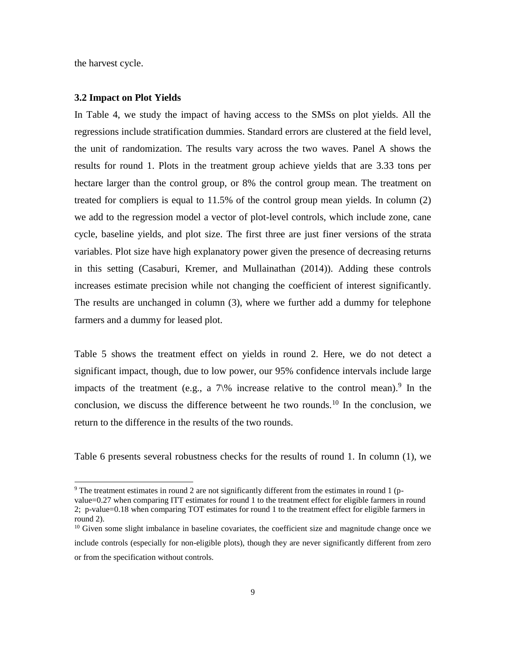the harvest cycle.

 $\overline{a}$ 

#### **3.2 Impact on Plot Yields**

In Table 4, we study the impact of having access to the SMSs on plot yields. All the regressions include stratification dummies. Standard errors are clustered at the field level, the unit of randomization. The results vary across the two waves. Panel A shows the results for round 1. Plots in the treatment group achieve yields that are 3.33 tons per hectare larger than the control group, or 8% the control group mean. The treatment on treated for compliers is equal to 11.5% of the control group mean yields. In column (2) we add to the regression model a vector of plot-level controls, which include zone, cane cycle, baseline yields, and plot size. The first three are just finer versions of the strata variables. Plot size have high explanatory power given the presence of decreasing returns in this setting (Casaburi, Kremer, and Mullainathan (2014)). Adding these controls increases estimate precision while not changing the coefficient of interest significantly. The results are unchanged in column (3), where we further add a dummy for telephone farmers and a dummy for leased plot.

Table 5 shows the treatment effect on yields in round 2. Here, we do not detect a significant impact, though, due to low power, our 95% confidence intervals include large impacts of the treatment (e.g., a  $7\%$  increase relative to the control mean).<sup>9</sup> In the conclusion, we discuss the difference betweent he two rounds.<sup>10</sup> In the conclusion, we return to the difference in the results of the two rounds.

Table 6 presents several robustness checks for the results of round 1. In column (1), we

<sup>9</sup> The treatment estimates in round 2 are not significantly different from the estimates in round 1 (pvalue=0.27 when comparing ITT estimates for round 1 to the treatment effect for eligible farmers in round 2; p-value=0.18 when comparing TOT estimates for round 1 to the treatment effect for eligible farmers in round 2).

<sup>&</sup>lt;sup>10</sup> Given some slight imbalance in baseline covariates, the coefficient size and magnitude change once we include controls (especially for non-eligible plots), though they are never significantly different from zero or from the specification without controls.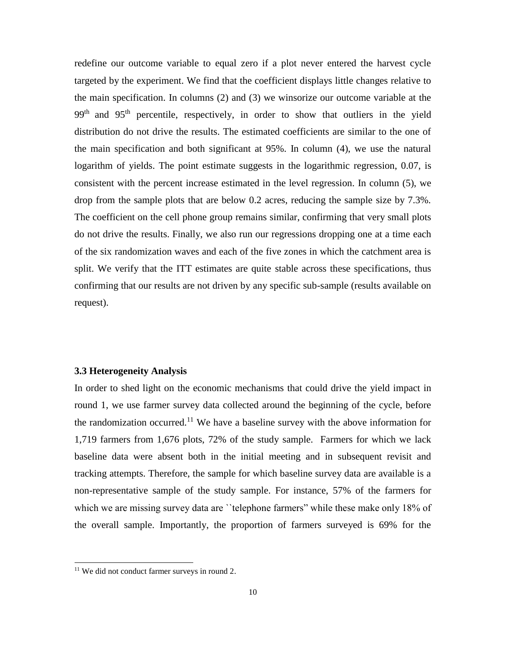redefine our outcome variable to equal zero if a plot never entered the harvest cycle targeted by the experiment. We find that the coefficient displays little changes relative to the main specification. In columns (2) and (3) we winsorize our outcome variable at the 99<sup>th</sup> and 95<sup>th</sup> percentile, respectively, in order to show that outliers in the yield distribution do not drive the results. The estimated coefficients are similar to the one of the main specification and both significant at 95%. In column (4), we use the natural logarithm of yields. The point estimate suggests in the logarithmic regression, 0.07, is consistent with the percent increase estimated in the level regression. In column (5), we drop from the sample plots that are below 0.2 acres, reducing the sample size by 7.3%. The coefficient on the cell phone group remains similar, confirming that very small plots do not drive the results. Finally, we also run our regressions dropping one at a time each of the six randomization waves and each of the five zones in which the catchment area is split. We verify that the ITT estimates are quite stable across these specifications, thus confirming that our results are not driven by any specific sub-sample (results available on request).

#### **3.3 Heterogeneity Analysis**

In order to shed light on the economic mechanisms that could drive the yield impact in round 1, we use farmer survey data collected around the beginning of the cycle, before the randomization occurred.<sup>11</sup> We have a baseline survey with the above information for 1,719 farmers from 1,676 plots, 72% of the study sample. Farmers for which we lack baseline data were absent both in the initial meeting and in subsequent revisit and tracking attempts. Therefore, the sample for which baseline survey data are available is a non-representative sample of the study sample. For instance, 57% of the farmers for which we are missing survey data are "telephone farmers" while these make only 18% of the overall sample. Importantly, the proportion of farmers surveyed is 69% for the

<sup>&</sup>lt;sup>11</sup> We did not conduct farmer surveys in round 2.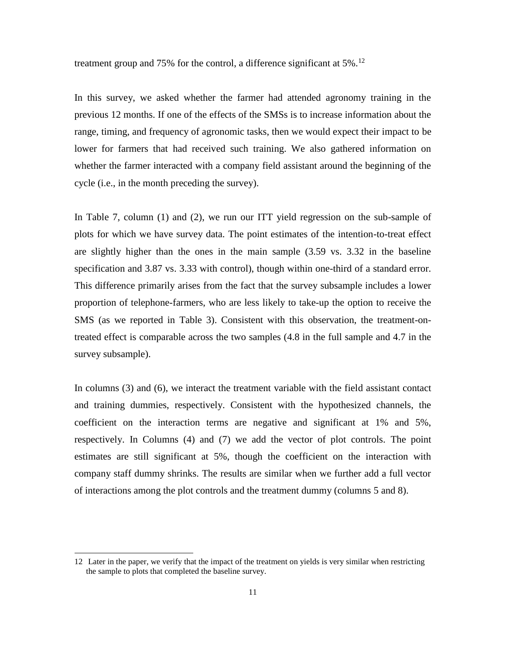treatment group and 75% for the control, a difference significant at 5%.<sup>12</sup>

In this survey, we asked whether the farmer had attended agronomy training in the previous 12 months. If one of the effects of the SMSs is to increase information about the range, timing, and frequency of agronomic tasks, then we would expect their impact to be lower for farmers that had received such training. We also gathered information on whether the farmer interacted with a company field assistant around the beginning of the cycle (i.e., in the month preceding the survey).

In Table 7, column (1) and (2), we run our ITT yield regression on the sub-sample of plots for which we have survey data. The point estimates of the intention-to-treat effect are slightly higher than the ones in the main sample (3.59 vs. 3.32 in the baseline specification and 3.87 vs. 3.33 with control), though within one-third of a standard error. This difference primarily arises from the fact that the survey subsample includes a lower proportion of telephone-farmers, who are less likely to take-up the option to receive the SMS (as we reported in Table 3). Consistent with this observation, the treatment-ontreated effect is comparable across the two samples (4.8 in the full sample and 4.7 in the survey subsample).

In columns (3) and (6), we interact the treatment variable with the field assistant contact and training dummies, respectively. Consistent with the hypothesized channels, the coefficient on the interaction terms are negative and significant at 1% and 5%, respectively. In Columns (4) and (7) we add the vector of plot controls. The point estimates are still significant at 5%, though the coefficient on the interaction with company staff dummy shrinks. The results are similar when we further add a full vector of interactions among the plot controls and the treatment dummy (columns 5 and 8).

<sup>12</sup> Later in the paper, we verify that the impact of the treatment on yields is very similar when restricting the sample to plots that completed the baseline survey.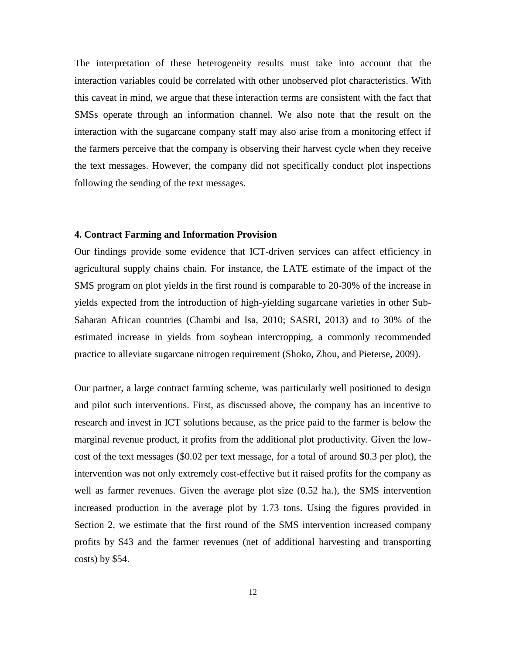The interpretation of these heterogeneity results must take into account that the interaction variables could be correlated with other unobserved plot characteristics. With this caveat in mind, we argue that these interaction terms are consistent with the fact that SMSs operate through an information channel. We also note that the result on the interaction with the sugarcane company staff may also arise from a monitoring effect if the farmers perceive that the company is observing their harvest cycle when they receive the text messages. However, the company did not specifically conduct plot inspections following the sending of the text messages.

#### **4. Contract Farming and Information Provision**

Our findings provide some evidence that ICT-driven services can affect efficiency in agricultural supply chains chain. For instance, the LATE estimate of the impact of the SMS program on plot yields in the first round is comparable to 20-30% of the increase in yields expected from the introduction of high-yielding sugarcane varieties in other Sub-Saharan African countries (Chambi and Isa, 2010; SASRI, 2013) and to 30% of the estimated increase in yields from soybean intercropping, a commonly recommended practice to alleviate sugarcane nitrogen requirement (Shoko, Zhou, and Pieterse, 2009).

Our partner, a large contract farming scheme, was particularly well positioned to design and pilot such interventions. First, as discussed above, the company has an incentive to research and invest in ICT solutions because, as the price paid to the farmer is below the marginal revenue product, it profits from the additional plot productivity. Given the lowcost of the text messages (\$0.02 per text message, for a total of around \$0.3 per plot), the intervention was not only extremely cost-effective but it raised profits for the company as well as farmer revenues. Given the average plot size (0.52 ha.), the SMS intervention increased production in the average plot by 1.73 tons. Using the figures provided in Section 2, we estimate that the first round of the SMS intervention increased company profits by \$43 and the farmer revenues (net of additional harvesting and transporting costs) by \$54.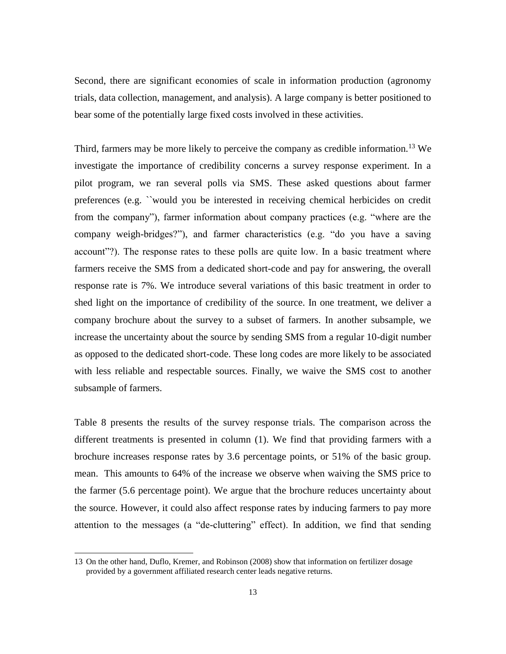Second, there are significant economies of scale in information production (agronomy trials, data collection, management, and analysis). A large company is better positioned to bear some of the potentially large fixed costs involved in these activities.

Third, farmers may be more likely to perceive the company as credible information.<sup>13</sup> We investigate the importance of credibility concerns a survey response experiment. In a pilot program, we ran several polls via SMS. These asked questions about farmer preferences (e.g. ``would you be interested in receiving chemical herbicides on credit from the company"), farmer information about company practices (e.g. "where are the company weigh-bridges?"), and farmer characteristics (e.g. "do you have a saving account"?). The response rates to these polls are quite low. In a basic treatment where farmers receive the SMS from a dedicated short-code and pay for answering, the overall response rate is 7%. We introduce several variations of this basic treatment in order to shed light on the importance of credibility of the source. In one treatment, we deliver a company brochure about the survey to a subset of farmers. In another subsample, we increase the uncertainty about the source by sending SMS from a regular 10-digit number as opposed to the dedicated short-code. These long codes are more likely to be associated with less reliable and respectable sources. Finally, we waive the SMS cost to another subsample of farmers.

Table 8 presents the results of the survey response trials. The comparison across the different treatments is presented in column (1). We find that providing farmers with a brochure increases response rates by 3.6 percentage points, or 51% of the basic group. mean. This amounts to 64% of the increase we observe when waiving the SMS price to the farmer (5.6 percentage point). We argue that the brochure reduces uncertainty about the source. However, it could also affect response rates by inducing farmers to pay more attention to the messages (a "de-cluttering" effect). In addition, we find that sending

<sup>13</sup> On the other hand, Duflo, Kremer, and Robinson (2008) show that information on fertilizer dosage provided by a government affiliated research center leads negative returns.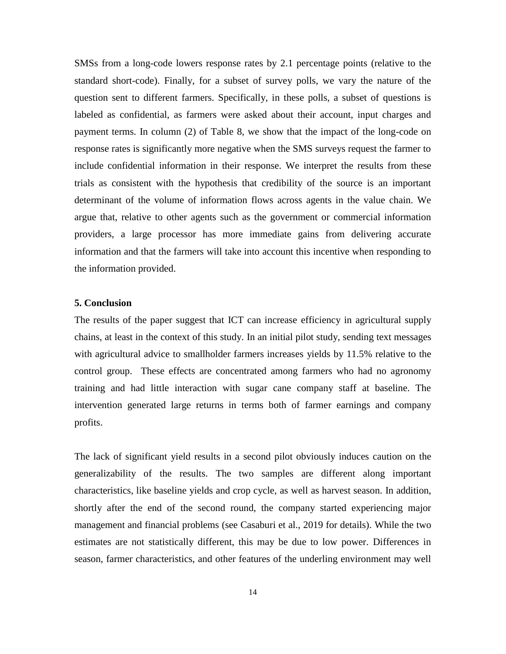SMSs from a long-code lowers response rates by 2.1 percentage points (relative to the standard short-code). Finally, for a subset of survey polls, we vary the nature of the question sent to different farmers. Specifically, in these polls, a subset of questions is labeled as confidential, as farmers were asked about their account, input charges and payment terms. In column (2) of Table 8, we show that the impact of the long-code on response rates is significantly more negative when the SMS surveys request the farmer to include confidential information in their response. We interpret the results from these trials as consistent with the hypothesis that credibility of the source is an important determinant of the volume of information flows across agents in the value chain. We argue that, relative to other agents such as the government or commercial information providers, a large processor has more immediate gains from delivering accurate information and that the farmers will take into account this incentive when responding to the information provided.

#### **5. Conclusion**

The results of the paper suggest that ICT can increase efficiency in agricultural supply chains, at least in the context of this study. In an initial pilot study, sending text messages with agricultural advice to smallholder farmers increases yields by 11.5% relative to the control group. These effects are concentrated among farmers who had no agronomy training and had little interaction with sugar cane company staff at baseline. The intervention generated large returns in terms both of farmer earnings and company profits.

The lack of significant yield results in a second pilot obviously induces caution on the generalizability of the results. The two samples are different along important characteristics, like baseline yields and crop cycle, as well as harvest season. In addition, shortly after the end of the second round, the company started experiencing major management and financial problems (see Casaburi et al., 2019 for details). While the two estimates are not statistically different, this may be due to low power. Differences in season, farmer characteristics, and other features of the underling environment may well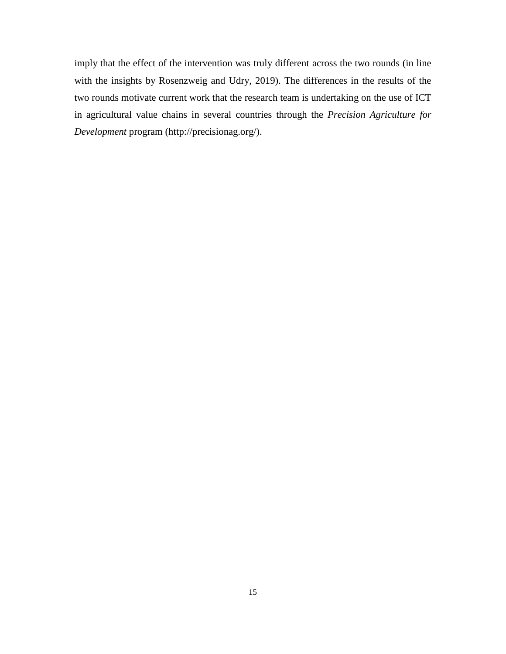imply that the effect of the intervention was truly different across the two rounds (in line with the insights by Rosenzweig and Udry, 2019). The differences in the results of the two rounds motivate current work that the research team is undertaking on the use of ICT in agricultural value chains in several countries through the *Precision Agriculture for Development* program (http://precisionag.org/).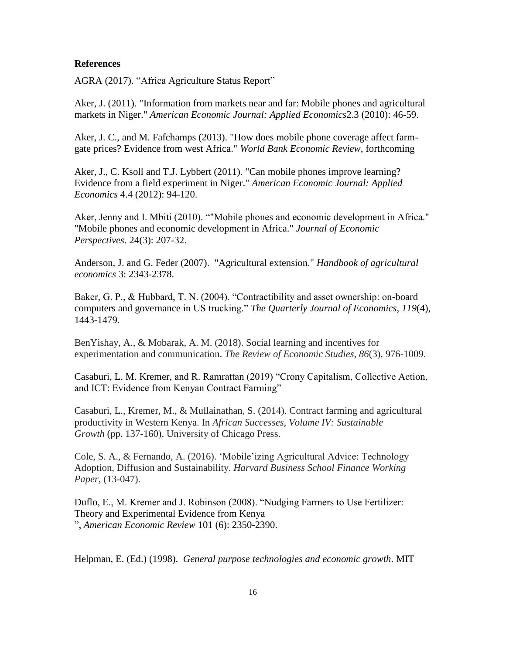#### **References**

AGRA (2017). "Africa Agriculture Status Report"

Aker, J. (2011). "Information from markets near and far: Mobile phones and agricultural markets in Niger." *American Economic Journal: Applied Economics*2.3 (2010): 46-59.

Aker, J. C., and M. Fafchamps (2013). "How does mobile phone coverage affect farmgate prices? Evidence from west Africa." *World Bank Economic Review*, forthcoming

Aker, J., C. Ksoll and T.J. Lybbert (2011). "Can mobile phones improve learning? Evidence from a field experiment in Niger." *American Economic Journal: Applied Economics* 4.4 (2012): 94-120.

Aker, Jenny and I. Mbiti (2010). ""Mobile phones and economic development in Africa." "Mobile phones and economic development in Africa." *Journal of Economic Perspectives*. 24(3): 207-32.

Anderson, J. and G. Feder (2007). "Agricultural extension." *Handbook of agricultural economics* 3: 2343-2378.

Baker, G. P., & Hubbard, T. N. (2004). "Contractibility and asset ownership: on-board computers and governance in US trucking." *The Quarterly Journal of Economics*, *119*(4), 1443-1479.

BenYishay, A., & Mobarak, A. M. (2018). Social learning and incentives for experimentation and communication. *The Review of Economic Studies*, *86*(3), 976-1009.

Casaburi, L. M. Kremer, and R. Ramrattan (2019) "Crony Capitalism, Collective Action, and ICT: Evidence from Kenyan Contract Farming"

Casaburi, L., Kremer, M., & Mullainathan, S. (2014). Contract farming and agricultural productivity in Western Kenya. In *African Successes, Volume IV: Sustainable Growth* (pp. 137-160). University of Chicago Press.

Cole, S. A., & Fernando, A. (2016). 'Mobile'izing Agricultural Advice: Technology Adoption, Diffusion and Sustainability. *Harvard Business School Finance Working Paper*, (13-047).

Duflo, E., M. Kremer and J. Robinson (2008). "Nudging Farmers to Use Fertilizer: Theory and Experimental Evidence from Kenya ", *American Economic Review* 101 (6): 2350-2390.

Helpman, E. (Ed.) (1998). *General purpose technologies and economic growth*. MIT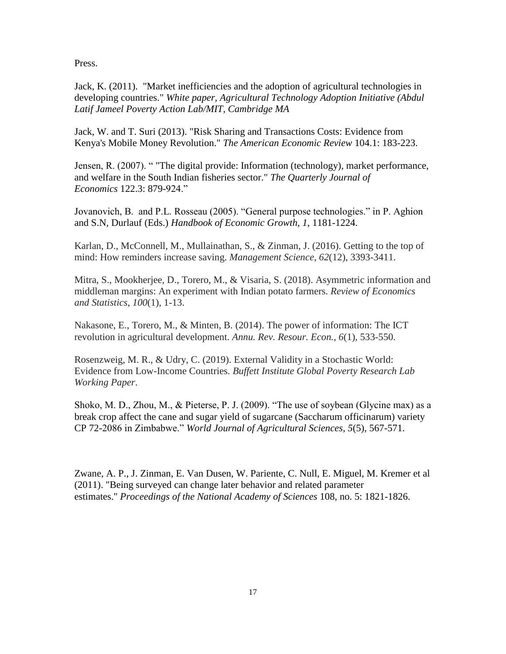Press.

Jack, K. (2011). "Market inefficiencies and the adoption of agricultural technologies in developing countries." *White paper, Agricultural Technology Adoption Initiative (Abdul Latif Jameel Poverty Action Lab/MIT, Cambridge MA*

Jack, W. and T. Suri (2013). "Risk Sharing and Transactions Costs: Evidence from Kenya's Mobile Money Revolution." *The American Economic Review* 104.1: 183-223.

Jensen, R. (2007). " "The digital provide: Information (technology), market performance, and welfare in the South Indian fisheries sector." *The Quarterly Journal of Economics* 122.3: 879-924."

Jovanovich, B. and P.L. Rosseau (2005). "General purpose technologies." in P. Aghion and S.N, Durlauf (Eds.) *Handbook of Economic Growth*, *1*, 1181-1224.

Karlan, D., McConnell, M., Mullainathan, S., & Zinman, J. (2016). Getting to the top of mind: How reminders increase saving. *Management Science*, *62*(12), 3393-3411.

Mitra, S., Mookherjee, D., Torero, M., & Visaria, S. (2018). Asymmetric information and middleman margins: An experiment with Indian potato farmers. *Review of Economics and Statistics*, *100*(1), 1-13.

Nakasone, E., Torero, M., & Minten, B. (2014). The power of information: The ICT revolution in agricultural development. *Annu. Rev. Resour. Econ.*, *6*(1), 533-550.

Rosenzweig, M. R., & Udry, C. (2019). External Validity in a Stochastic World: Evidence from Low-Income Countries. *Buffett Institute Global Poverty Research Lab Working Paper*.

Shoko, M. D., Zhou, M., & Pieterse, P. J. (2009). "The use of soybean (Glycine max) as a break crop affect the cane and sugar yield of sugarcane (Saccharum officinarum) variety CP 72-2086 in Zimbabwe." *World Journal of Agricultural Sciences*, *5*(5), 567-571.

Zwane, A. P., J. Zinman, E. Van Dusen, W. Pariente, C. Null, E. Miguel, M. Kremer et al (2011). "Being surveyed can change later behavior and related parameter estimates." *Proceedings of the National Academy of Sciences* 108, no. 5: 1821-1826.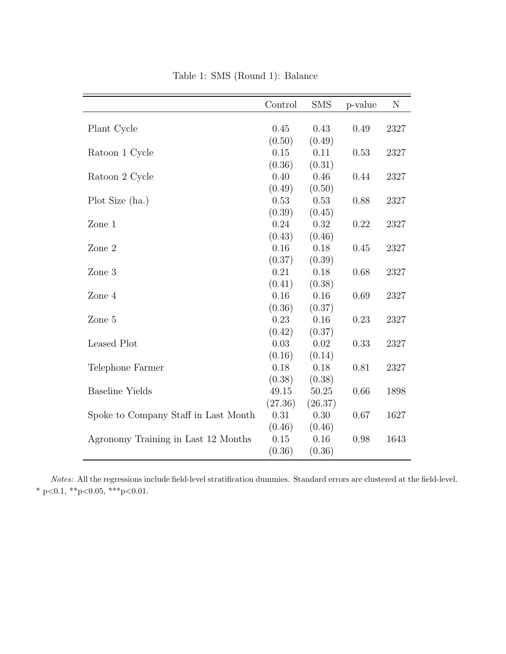|                                      | Control | <b>SMS</b> | p-value | N    |
|--------------------------------------|---------|------------|---------|------|
|                                      |         |            |         |      |
| Plant Cycle                          | 0.45    | 0.43       | 0.49    | 2327 |
|                                      | (0.50)  | (0.49)     |         |      |
| Ratoon 1 Cycle                       | 0.15    | 0.11       | 0.53    | 2327 |
|                                      | (0.36)  | (0.31)     |         |      |
| Ratoon 2 Cycle                       | 0.40    | 0.46       | 0.44    | 2327 |
|                                      | (0.49)  | (0.50)     |         |      |
| Plot Size (ha.)                      | 0.53    | 0.53       | 0.88    | 2327 |
|                                      | (0.39)  | (0.45)     |         |      |
| Zone $\sqrt{1}$                      | 0.24    | 0.32       | 0.22    | 2327 |
|                                      | (0.43)  | (0.46)     |         |      |
| Zone 2                               | 0.16    | 0.18       | 0.45    | 2327 |
|                                      | (0.37)  | (0.39)     |         |      |
| Zone 3                               | 0.21    | 0.18       | 0.68    | 2327 |
|                                      | (0.41)  | (0.38)     |         |      |
| Zone 4                               | 0.16    | 0.16       | 0.69    | 2327 |
|                                      | (0.36)  | (0.37)     |         |      |
| Zone 5                               | 0.23    | 0.16       | 0.23    | 2327 |
|                                      | (0.42)  | (0.37)     |         |      |
| Leased Plot                          | 0.03    | 0.02       | 0.33    | 2327 |
|                                      | (0.16)  | (0.14)     |         |      |
| Telephone Farmer                     | 0.18    | 0.18       | 0.81    | 2327 |
|                                      | (0.38)  | (0.38)     |         |      |
| <b>Baseline Yields</b>               | 49.15   | 50.25      | 0.66    | 1898 |
|                                      | (27.36) | (26.37)    |         |      |
| Spoke to Company Staff in Last Month | 0.31    | 0.30       | 0.67    | 1627 |
|                                      | (0.46)  | (0.46)     |         |      |
| Agronomy Training in Last 12 Months  | 0.15    | 0.16       | 0.98    | 1643 |
|                                      | (0.36)  | (0.36)     |         |      |

Table 1: SMS (Round 1): Balance

Notes: All the regressions include field-level stratification dummies. Standard errors are clustered at the field-level. \* p<0.1, \*\*p<0.05, \*\*\*p<0.01.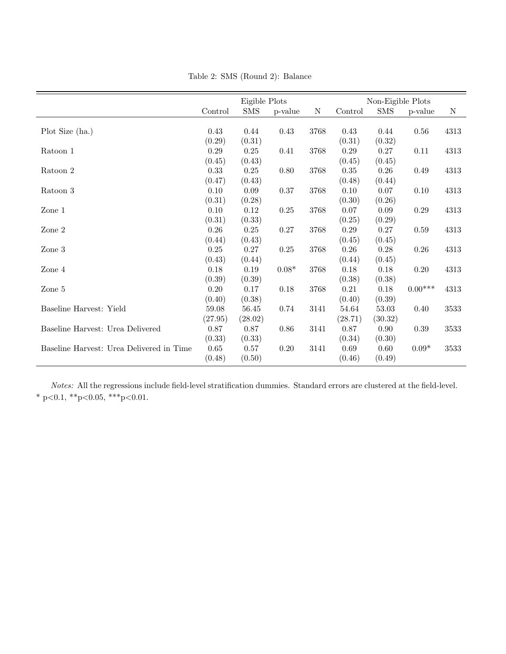|                                          | Eigible Plots |             |          |      |          | Non-Eigible Plots |           |             |
|------------------------------------------|---------------|-------------|----------|------|----------|-------------------|-----------|-------------|
|                                          | Control       | ${\rm SMS}$ | p-value  | N    | Control  | SMS               | p-value   | $\mathbf N$ |
|                                          |               |             |          |      |          |                   |           |             |
| Plot Size (ha.)                          | 0.43          | 0.44        | 0.43     | 3768 | 0.43     | 0.44              | 0.56      | 4313        |
|                                          | (0.29)        | (0.31)      |          |      | (0.31)   | (0.32)            |           |             |
| Ratoon 1                                 | 0.29          | 0.25        | 0.41     | 3768 | 0.29     | 0.27              | 0.11      | 4313        |
|                                          | (0.45)        | (0.43)      |          |      | (0.45)   | (0.45)            |           |             |
| Ratoon 2                                 | 0.33          | 0.25        | 0.80     | 3768 | $0.35\,$ | 0.26              | 0.49      | 4313        |
|                                          | (0.47)        | (0.43)      |          |      | (0.48)   | (0.44)            |           |             |
| Ratoon 3                                 | 0.10          | 0.09        | 0.37     | 3768 | 0.10     | 0.07              | 0.10      | 4313        |
|                                          | (0.31)        | (0.28)      |          |      | (0.30)   | (0.26)            |           |             |
| Zone $\boldsymbol{1}$                    | $0.10\,$      | 0.12        | $0.25\,$ | 3768 | 0.07     | 0.09              | 0.29      | 4313        |
|                                          | (0.31)        | (0.33)      |          |      | (0.25)   | (0.29)            |           |             |
| Zone 2                                   | $0.26\,$      | 0.25        | $0.27\,$ | 3768 | $0.29\,$ | $0.27\,$          | 0.59      | 4313        |
|                                          | (0.44)        | (0.43)      |          |      | (0.45)   | (0.45)            |           |             |
| Zone 3                                   | $0.25\,$      | $0.27\,$    | $0.25\,$ | 3768 | $0.26\,$ | 0.28              | 0.26      | 4313        |
|                                          | (0.43)        | (0.44)      |          |      | (0.44)   | (0.45)            |           |             |
| Zone 4                                   | $0.18\,$      | 0.19        | $0.08*$  | 3768 | 0.18     | $0.18\,$          | $0.20\,$  | 4313        |
|                                          | (0.39)        | (0.39)      |          |      | (0.38)   | (0.38)            |           |             |
| Zone 5                                   | 0.20          | 0.17        | 0.18     | 3768 | 0.21     | $0.18\,$          | $0.00***$ | 4313        |
|                                          | (0.40)        | (0.38)      |          |      | (0.40)   | (0.39)            |           |             |
| Baseline Harvest: Yield                  | 59.08         | 56.45       | 0.74     | 3141 | 54.64    | 53.03             | 0.40      | 3533        |
|                                          | (27.95)       | (28.02)     |          |      | (28.71)  | (30.32)           |           |             |
| Baseline Harvest: Urea Delivered         | 0.87          | 0.87        | 0.86     | 3141 | 0.87     | 0.90              | 0.39      | 3533        |
|                                          | (0.33)        | (0.33)      |          |      | (0.34)   | (0.30)            |           |             |
| Baseline Harvest: Urea Delivered in Time | 0.65          | 0.57        | 0.20     | 3141 | 0.69     | 0.60              | $0.09*$   | 3533        |
|                                          | (0.48)        | (0.50)      |          |      | (0.46)   | (0.49)            |           |             |
|                                          |               |             |          |      |          |                   |           |             |

Table 2: SMS (Round 2): Balance

Notes: All the regressions include field-level stratification dummies. Standard errors are clustered at the field-level. \* p<0.1, \*\*p<0.05, \*\*\*p<0.01.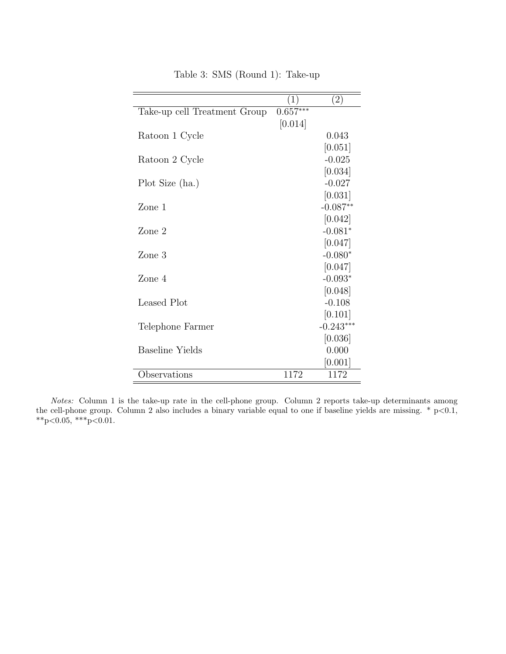|                              | 1)         | $\left( 2\right)$ |
|------------------------------|------------|-------------------|
| Take-up cell Treatment Group | $0.657***$ |                   |
|                              | [0.014]    |                   |
| Ratoon 1 Cycle               |            | 0.043             |
|                              |            | [0.051]           |
| Ratoon 2 Cycle               |            | $-0.025$          |
|                              |            | [0.034]           |
| Plot Size (ha.)              |            | $-0.027$          |
|                              |            | [0.031]           |
| Zone 1                       |            | $-0.087**$        |
|                              |            | [0.042]           |
| Zone 2                       |            | $-0.081*$         |
|                              |            | [0.047]           |
| Zone 3                       |            | $-0.080*$         |
|                              |            | [0.047]           |
| Zone 4                       |            | $-0.093*$         |
|                              |            | [0.048]           |
| Leased Plot                  |            | $-0.108$          |
|                              |            | [0.101]           |
| Telephone Farmer             |            | $-0.243***$       |
|                              |            | [0.036]           |
| Baseline Yields              |            | 0.000             |
|                              |            | [0.001]           |
| Observations                 | 1172       | 1172              |

Table 3: SMS (Round 1): Take-up

Notes: Column 1 is the take-up rate in the cell-phone group. Column 2 reports take-up determinants among the cell-phone group. Column 2 also includes a binary variable equal to one if baseline yields are missing.  $*$  p<0.1,  $*p<0.05$ ,  $**p<0.01$ .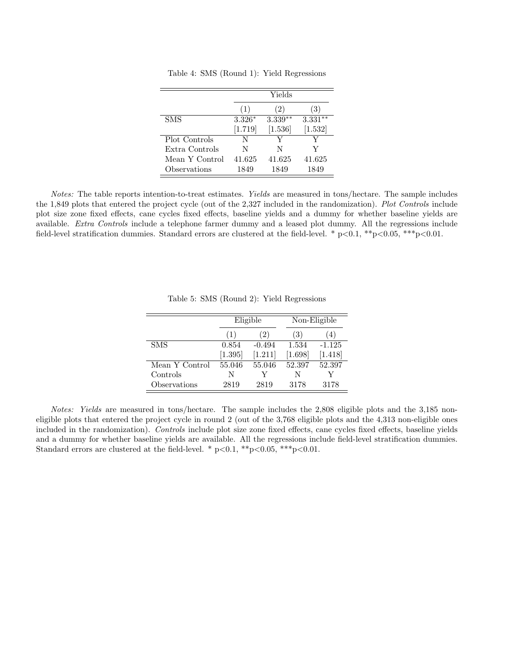|                |          | Yields    |           |
|----------------|----------|-----------|-----------|
|                | (1)      | (2)       | 3)        |
| <b>SMS</b>     | $3.326*$ | $3.339**$ | $3.331**$ |
|                | [1.719]  | $[1.536]$ | [1.532]   |
| Plot Controls  | N        | V         |           |
| Extra Controls | N        | N         | Y         |
| Mean Y Control | 41.625   | 41.625    | 41.625    |
| Observations   | 1849     | 1849      | 1849      |

Table 4: SMS (Round 1): Yield Regressions

Notes: The table reports intention-to-treat estimates. Yields are measured in tons/hectare. The sample includes the 1,849 plots that entered the project cycle (out of the 2,327 included in the randomization). Plot Controls include plot size zone fixed effects, cane cycles fixed effects, baseline yields and a dummy for whether baseline yields are available. Extra Controls include a telephone farmer dummy and a leased plot dummy. All the regressions include field-level stratification dummies. Standard errors are clustered at the field-level. \*  $p<0.1$ , \*\* $p<0.05$ , \*\*\* $p<0.01$ .

|                | Eligible |          | Non-Eligible |                  |
|----------------|----------|----------|--------------|------------------|
|                | (1)      | (2)      | (3)          | $\left(4\right)$ |
| <b>SMS</b>     | 0.854    | $-0.494$ | 1.534        | $-1.125$         |
|                | [1.395]  | [1.211]  | [1.698]      | [1.418]          |
| Mean Y Control | 55.046   | 55.046   | 52.397       | 52.397           |
| Controls       | N        |          | N            |                  |
| Observations   | 2819     | 2819     | 3178         | 3178             |

Table 5: SMS (Round 2): Yield Regressions

Notes: Yields are measured in tons/hectare. The sample includes the 2,808 eligible plots and the 3,185 noneligible plots that entered the project cycle in round 2 (out of the 3,768 eligible plots and the 4,313 non-eligible ones included in the randomization). Controls include plot size zone fixed effects, cane cycles fixed effects, baseline yields and a dummy for whether baseline yields are available. All the regressions include field-level stratification dummies. Standard errors are clustered at the field-level. \* p<0.1, \*\*p<0.05, \*\*\*p<0.01.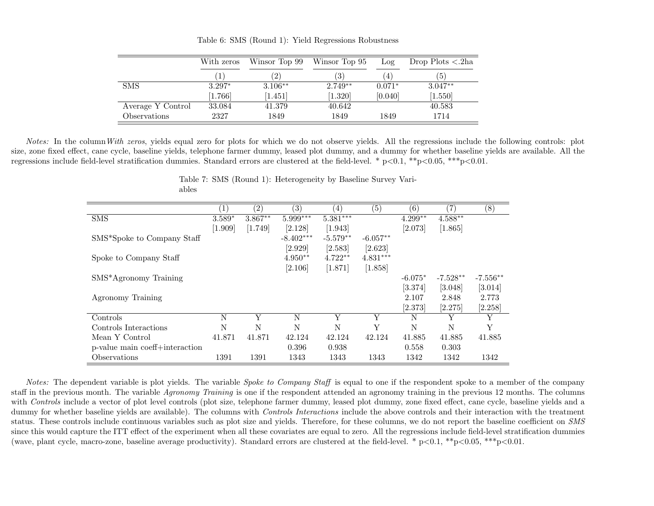|                   | With zeros | Winsor Top 99 | Winsor Top 95 | Log       | Drop Plots $\langle .2ha \rangle$ |
|-------------------|------------|---------------|---------------|-----------|-----------------------------------|
|                   |            | (2)           | ΄3)           | $\cdot$ 4 | $\mathbf{5}$                      |
| <b>SMS</b>        | $3.297*$   | $3.106**$     | $2.749**$     | $0.071*$  | $3.047**$                         |
|                   | 1.766      | [1.451]       | [1.320]       | [0.040]   | [1.550]                           |
| Average Y Control | 33.084     | 41.379        | 40.642        |           | 40.583                            |
| Observations      | 2327       | 1849          | 1849          | 1849      | 1714                              |

Table 6: SMS (Round 1): Yield Regressions Robustness

Notes: In the column With zeros, yields equal zero for plots for which we do not observe yields. All the regressions include the following controls: plot size, zone fixed effect, cane cycle, baseline <sup>y</sup>ields, telephone farmer dummy, leased <sup>p</sup>lot dummy, and <sup>a</sup> dummy for whether baseline <sup>y</sup>ields are available. All theregressions include field-level stratification dummies. Standard errors are clustered at the field-level. \*  $p<0.1$ , \*\* $p<0.05$ , \*\*\* $p<0.01$ .

|                                         | $\left(1\right)$ | $\left( 2\right)$ | $\left( 3\right)$ | $\left(4\right)$ | (5)        | (6)       | 7          | (8)        |
|-----------------------------------------|------------------|-------------------|-------------------|------------------|------------|-----------|------------|------------|
| <b>SMS</b>                              | $3.589*$         | $3.867**$         | $5.999***$        | $5.381***$       |            | $4.299**$ | $4.588**$  |            |
|                                         | $[1.909]$        | [1.749]           | [2.128]           | [1.943]          |            | [2.073]   | [1.865]    |            |
| SMS <sup>*</sup> Spoke to Company Staff |                  |                   | $-8.402***$       | $-5.579**$       | $-6.057**$ |           |            |            |
|                                         |                  |                   | [2.929]           | [2.583]          | [2.623]    |           |            |            |
| Spoke to Company Staff                  |                  |                   | $4.950**$         | $4.722**$        | $4.831***$ |           |            |            |
|                                         |                  |                   | [2.106]           | [1.871]          | [1.858]    |           |            |            |
| SMS*Agronomy Training                   |                  |                   |                   |                  |            | $-6.075*$ | $-7.528**$ | $-7.556**$ |
|                                         |                  |                   |                   |                  |            | [3.374]   | [3.048]    | [3.014]    |
| Agronomy Training                       |                  |                   |                   |                  |            | 2.107     | 2.848      | 2.773      |
|                                         |                  |                   |                   |                  |            | [2.373]   | [2.275]    | [2.258]    |
| Controls                                | N                | Y                 | N                 | Y                |            | N         | Y          | Y          |
| Controls Interactions                   | N                | N                 | N                 | N                | Y          | N         | N          | Y          |
| Mean Y Control                          | 41.871           | 41.871            | 42.124            | 42.124           | 42.124     | 41.885    | 41.885     | 41.885     |
| p-value main coeff+interaction          |                  |                   | 0.396             | 0.938            |            | 0.558     | 0.303      |            |
| Observations                            | 1391             | 1391              | 1343              | 1343             | 1343       | 1342      | 1342       | 1342       |

Table 7: SMS (Round 1): Heterogeneity by Baseline Survey Variables

Notes: The dependent variable is plot yields. The variable *Spoke to Company Staff* is equal to one if the respondent spoke to a member of the company staff in the previous month. The variable *Agronomy Training* is one if the respondent attended an agronomy training in the previous 12 months. The columns with *Controls* include a vector of plot level controls (plot size, telephone farmer dummy, leased plot dummy, zone fixed effect, cane cycle, baseline yields and a dummy for whether baseline yields are available). The columns with *Controls Interactions* include the above controls and their interaction with the treatment status. These controls include continuous variables such as plot size and yields. Therefore, for these columns, we do not report the baseline coefficient on SMS since this would capture the ITT effect of the experiment when all these covariates are equal to zero. All the regressions include field-level stratification dummies(wave, plant cycle, macro-zone, baseline average productivity). Standard errors are clustered at the field-level. \*  $p<0.1$ , \*\*p $<0.05$ , \*\*\*p $<0.01$ .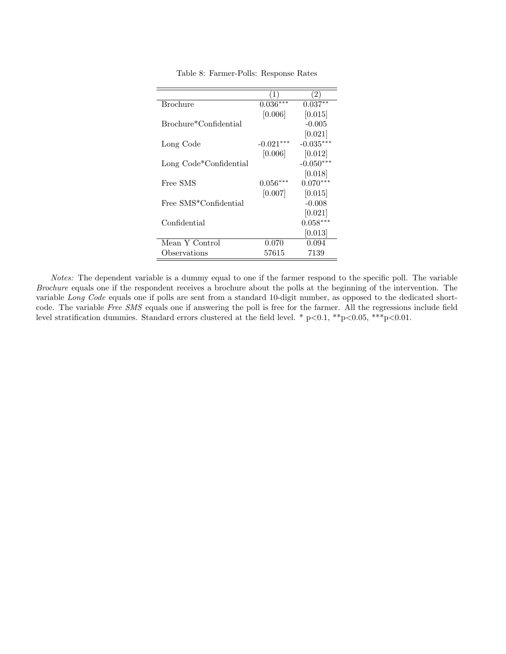|                                    | (1)         | (2)         |
|------------------------------------|-------------|-------------|
| <b>Brochure</b>                    | $0.036***$  | $0.037**$   |
|                                    | [0.006]     | [0.015]     |
| Brochure*Confidential              |             | $-0.005$    |
|                                    |             | [0.021]     |
| Long Code                          | $-0.021***$ | $-0.035***$ |
|                                    | [0.006]     | [0.012]     |
| Long Code*Confidential             |             | $-0.050***$ |
|                                    |             | [0.018]     |
| Free SMS                           | $0.056***$  | $0.070***$  |
|                                    | [0.007]     | [0.015]     |
| Free SMS <sup>*</sup> Confidential |             | $-0.008$    |
|                                    |             | [0.021]     |
| Confidential                       |             | $0.058***$  |
|                                    |             | [0.013]     |
| Mean Y Control                     | 0.070       | 0.094       |
| Observations                       | 57615       | 7139        |

Table 8: Farmer-Polls: Response Rates

Notes: The dependent variable is a dummy equal to one if the farmer respond to the specific poll. The variable Brochure equals one if the respondent receives a brochure about the polls at the beginning of the intervention. The variable Long Code equals one if polls are sent from a standard 10-digit number, as opposed to the dedicated shortcode. The variable Free SMS equals one if answering the poll is free for the farmer. All the regressions include field level stratification dummies. Standard errors clustered at the field level. \*  $p<0.1$ , \*\* $p<0.05$ , \*\*\* $p<0.01$ .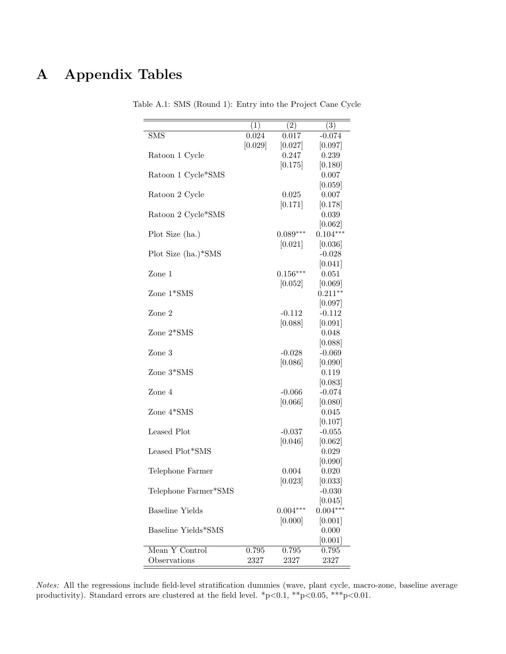# A Appendix Tables

|                        | (1)     | (2)        | $\overline{(3)}$ |
|------------------------|---------|------------|------------------|
| <b>SMS</b>             | 0.024   | 0.017      | $-0.074$         |
|                        | [0.029] | [0.027]    | [0.097]          |
| Ratoon 1 Cycle         |         | 0.247      | 0.239            |
|                        |         | [0.175]    | [0.180]          |
| Ratoon 1 Cycle*SMS     |         |            | 0.007            |
|                        |         |            | [0.059]          |
| Ratoon 2 Cycle         |         | 0.025      | 0.007            |
|                        |         | [0.171]    | [0.178]          |
| Ratoon 2 Cycle*SMS     |         |            | 0.039            |
|                        |         |            | [0.062]          |
| Plot Size (ha.)        |         | $0.089***$ | $0.104***$       |
|                        |         | [0.021]    | [0.036]          |
| Plot Size (ha.)*SMS    |         |            | $-0.028$         |
|                        |         |            | [0.041]          |
| Zone 1                 |         | $0.156***$ | 0.051            |
|                        |         | [0.052]    | [0.069]          |
| Zone 1*SMS             |         |            | $0.211**$        |
|                        |         |            | [0.097]          |
| Zone 2                 |         | $-0.112$   | $-0.112$         |
|                        |         | [0.088]    | [0.091]          |
| Zone 2*SMS             |         |            | 0.048            |
|                        |         |            | [0.088]          |
| Zone 3                 |         | $-0.028$   | $-0.069$         |
|                        |         | [0.086]    | [0.090]          |
| Zone 3*SMS             |         |            | 0.119            |
|                        |         |            | [0.083]          |
| Zone 4                 |         | $-0.066$   | $-0.074$         |
|                        |         | [0.066]    | [0.080]          |
| Zone 4*SMS             |         |            | 0.045            |
|                        |         |            | [0.107]          |
| Leased Plot            |         | $-0.037$   | $-0.055$         |
|                        |         | [0.046]    | [0.062]<br>0.029 |
| Leased Plot*SMS        |         |            |                  |
|                        |         | 0.004      | [0.090]<br>0.020 |
| Telephone Farmer       |         | [0.023]    | [0.033]          |
| Telephone Farmer*SMS   |         |            | $-0.030$         |
|                        |         |            | [0.045]          |
| <b>Baseline Yields</b> |         | $0.004***$ | $0.004***$       |
|                        |         | [0.000]    | [0.001]          |
| Baseline Yields*SMS    |         |            | 0.000            |
|                        |         |            | [0.001]          |
| Mean Y Control         | 0.795   | 0.795      | 0.795            |
| Observations           | 2327    | 2327       | 2327             |
|                        |         |            |                  |

Table A.1: SMS (Round 1): Entry into the Project Cane Cycle

Notes: All the regressions include field-level stratification dummies (wave, plant cycle, macro-zone, baseline average productivity). Standard errors are clustered at the field level.  $*p<0.1$ ,  $*p<0.05$ ,  $**p<0.01$ .